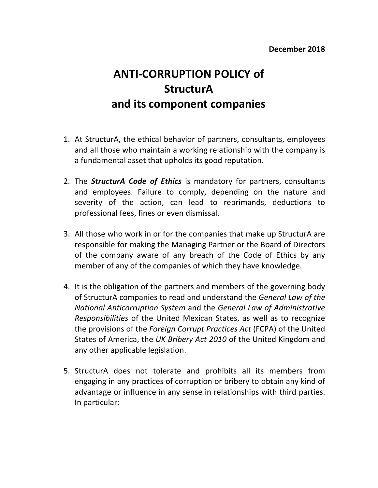## **ANTI-CORRUPTION POLICY of StructurA and its component companies**

- 1. At StructurA, the ethical behavior of partners, consultants, employees and all those who maintain a working relationship with the company is a fundamental asset that upholds its good reputation.
- 2. The **StructurA Code of Ethics** is mandatory for partners, consultants and employees. Failure to comply, depending on the nature and severity of the action, can lead to reprimands, deductions to professional fees, fines or even dismissal.
- 3. All those who work in or for the companies that make up StructurA are responsible for making the Managing Partner or the Board of Directors of the company aware of any breach of the Code of Ethics by any member of any of the companies of which they have knowledge.
- 4. It is the obligation of the partners and members of the governing body of StructurA companies to read and understand the *General Law of the National Anticorruption System and the General Law of Administrative Responsibilities* of the United Mexican States, as well as to recognize the provisions of the *Foreign Corrupt Practices Act* (FCPA) of the United States of America, the UK Bribery Act 2010 of the United Kingdom and any other applicable legislation.
- 5. StructurA does not tolerate and prohibits all its members from engaging in any practices of corruption or bribery to obtain any kind of advantage or influence in any sense in relationships with third parties. In particular: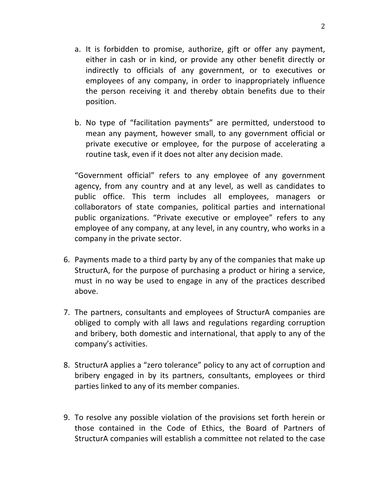- a. It is forbidden to promise, authorize, gift or offer any payment, either in cash or in kind, or provide any other benefit directly or indirectly to officials of any government, or to executives or employees of any company, in order to inappropriately influence the person receiving it and thereby obtain benefits due to their position.
- b. No type of "facilitation payments" are permitted, understood to mean any payment, however small, to any government official or private executive or employee, for the purpose of accelerating a routine task, even if it does not alter any decision made.

"Government official" refers to any employee of any government agency, from any country and at any level, as well as candidates to public office. This term includes all employees, managers or collaborators of state companies, political parties and international public organizations. "Private executive or employee" refers to any employee of any company, at any level, in any country, who works in a company in the private sector.

- 6. Payments made to a third party by any of the companies that make up StructurA, for the purpose of purchasing a product or hiring a service, must in no way be used to engage in any of the practices described above.
- 7. The partners, consultants and employees of StructurA companies are obliged to comply with all laws and regulations regarding corruption and bribery, both domestic and international, that apply to any of the company's activities.
- 8. StructurA applies a "zero tolerance" policy to any act of corruption and bribery engaged in by its partners, consultants, employees or third parties linked to any of its member companies.
- 9. To resolve any possible violation of the provisions set forth herein or those contained in the Code of Ethics, the Board of Partners of StructurA companies will establish a committee not related to the case